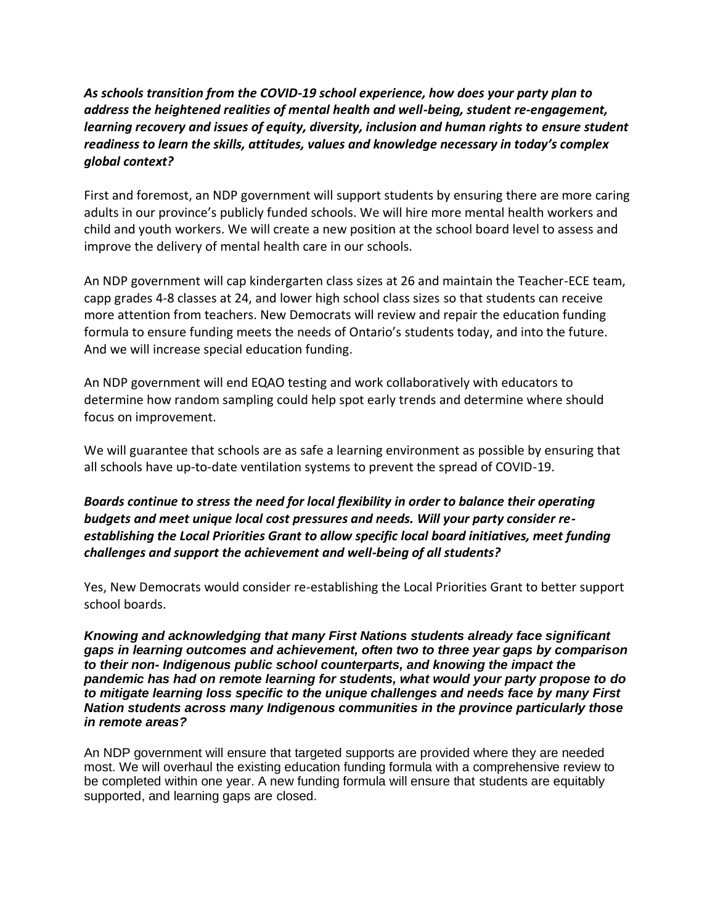*As schools transition from the COVID-19 school experience, how does your party plan to address the heightened realities of mental health and well-being, student re-engagement, learning recovery and issues of equity, diversity, inclusion and human rights to ensure student readiness to learn the skills, attitudes, values and knowledge necessary in today's complex global context?* 

First and foremost, an NDP government will support students by ensuring there are more caring adults in our province's publicly funded schools. We will hire more mental health workers and child and youth workers. We will create a new position at the school board level to assess and improve the delivery of mental health care in our schools.

An NDP government will cap kindergarten class sizes at 26 and maintain the Teacher-ECE team, capp grades 4-8 classes at 24, and lower high school class sizes so that students can receive more attention from teachers. New Democrats will review and repair the education funding formula to ensure funding meets the needs of Ontario's students today, and into the future. And we will increase special education funding.

An NDP government will end EQAO testing and work collaboratively with educators to determine how random sampling could help spot early trends and determine where should focus on improvement.

We will guarantee that schools are as safe a learning environment as possible by ensuring that all schools have up-to-date ventilation systems to prevent the spread of COVID-19.

*Boards continue to stress the need for local flexibility in order to balance their operating budgets and meet unique local cost pressures and needs. Will your party consider reestablishing the Local Priorities Grant to allow specific local board initiatives, meet funding challenges and support the achievement and well-being of all students?* 

Yes, New Democrats would consider re-establishing the Local Priorities Grant to better support school boards.

*Knowing and acknowledging that many First Nations students already face significant gaps in learning outcomes and achievement, often two to three year gaps by comparison to their non- Indigenous public school counterparts, and knowing the impact the pandemic has had on remote learning for students, what would your party propose to do to mitigate learning loss specific to the unique challenges and needs face by many First Nation students across many Indigenous communities in the province particularly those in remote areas?* 

An NDP government will ensure that targeted supports are provided where they are needed most. We will overhaul the existing education funding formula with a comprehensive review to be completed within one year. A new funding formula will ensure that students are equitably supported, and learning gaps are closed.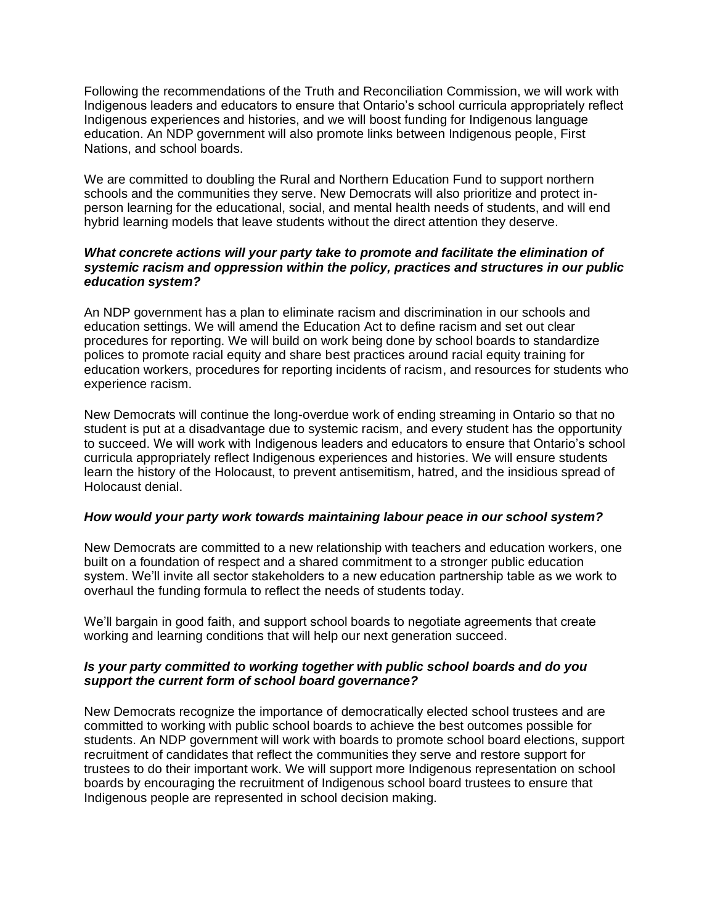Following the recommendations of the Truth and Reconciliation Commission, we will work with Indigenous leaders and educators to ensure that Ontario's school curricula appropriately reflect Indigenous experiences and histories, and we will boost funding for Indigenous language education. An NDP government will also promote links between Indigenous people, First Nations, and school boards.

We are committed to doubling the Rural and Northern Education Fund to support northern schools and the communities they serve. New Democrats will also prioritize and protect inperson learning for the educational, social, and mental health needs of students, and will end hybrid learning models that leave students without the direct attention they deserve.

## *What concrete actions will your party take to promote and facilitate the elimination of systemic racism and oppression within the policy, practices and structures in our public education system?*

An NDP government has a plan to eliminate racism and discrimination in our schools and education settings. We will amend the Education Act to define racism and set out clear procedures for reporting. We will build on work being done by school boards to standardize polices to promote racial equity and share best practices around racial equity training for education workers, procedures for reporting incidents of racism, and resources for students who experience racism.

New Democrats will continue the long-overdue work of ending streaming in Ontario so that no student is put at a disadvantage due to systemic racism, and every student has the opportunity to succeed. We will work with Indigenous leaders and educators to ensure that Ontario's school curricula appropriately reflect Indigenous experiences and histories. We will ensure students learn the history of the Holocaust, to prevent antisemitism, hatred, and the insidious spread of Holocaust denial.

## *How would your party work towards maintaining labour peace in our school system?*

New Democrats are committed to a new relationship with teachers and education workers, one built on a foundation of respect and a shared commitment to a stronger public education system. We'll invite all sector stakeholders to a new education partnership table as we work to overhaul the funding formula to reflect the needs of students today.

We'll bargain in good faith, and support school boards to negotiate agreements that create working and learning conditions that will help our next generation succeed.

## *Is your party committed to working together with public school boards and do you support the current form of school board governance?*

New Democrats recognize the importance of democratically elected school trustees and are committed to working with public school boards to achieve the best outcomes possible for students. An NDP government will work with boards to promote school board elections, support recruitment of candidates that reflect the communities they serve and restore support for trustees to do their important work. We will support more Indigenous representation on school boards by encouraging the recruitment of Indigenous school board trustees to ensure that Indigenous people are represented in school decision making.